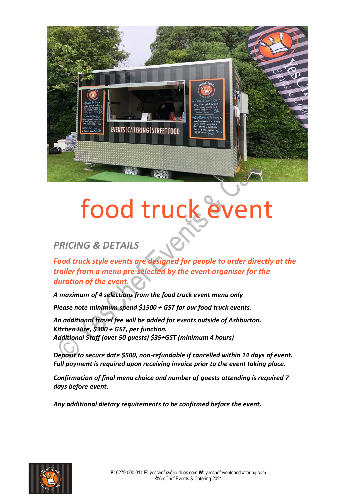

## food truck event

## *PRICING & DETAILS*

*Food truck style events are designed for people to order directly at the trailer from a menu pre-selected by the event organiser for the duration of the event.*

*A maximum of 4 selections from the food truck event menu only*

*Please note minimum spend \$1500 + GST for our food truck events.*

*An additional travel fee will be added for events outside of Ashburton. Kitchen Hire, \$300 + GST, per function. Additional Staff (over 50 guests) \$35+GST (minimum 4 hours)*

*Deposit to secure date \$500, non-refundable if cancelled within 14 days of event. Full payment is required upon receiving invoice prior to the event taking place.*

*Confirmation of final menu choice and number of guests attending is required 7 days before event.*

*Any additional dietary requirements to be confirmed before the event.*

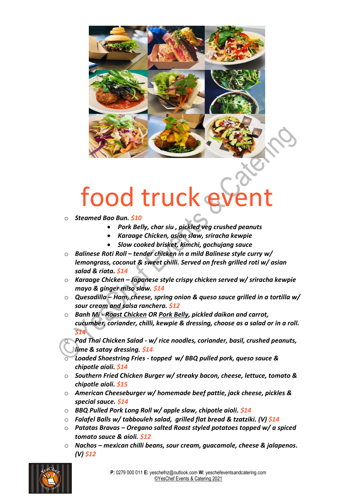

## food truck e

- o *Steamed Bao Bun. \$10*
	- *Pork Belly, char siu , pickled veg crushed peanuts*
	- *Karaage Chicken, asian slaw, sriracha kewpie*
	- *Slow cooked brisket, kimchi, gochujang sauce*
- o *Balinese Roti Roll – tender chicken in a mild Balinese style curry w/ lemongrass, coconut & sweet chilli. Served on fresh grilled roti w/ asian salad & riata. \$14*
- o *Karaage Chicken – Japanese style crispy chicken served w/ sriracha kewpie mayo & ginger miso slaw. \$14*
- o *Quesadilla – Ham, cheese, spring onion & queso sauce grilled in a tortilla w/ sour cream and salsa ranchera. \$12*
- o *Banh Mi - Roast Chicken OR Pork Belly, pickled daikon and carrot, cucumber, coriander, chilli, kewpie & dressing, choose as a salad or in a roll. \$14*
- o *Pad Thai Chicken Salad - w/ rice noodles, coriander, basil, crushed peanuts, lime & satay dressing. \$14*
- o *Loaded Shoestring Fries - topped w/ BBQ pulled pork, queso sauce & chipotle aioli. \$14*
- o *Southern Fried Chicken Burger w/ streaky bacon, cheese, lettuce, tomato & chipotle aioli. \$15*
- o *American Cheeseburger w/ homemade beef pattie, jack cheese, pickles & special sauce. \$14*
- o *BBQ Pulled Pork Long Roll w/ apple slaw, chipotle aioli. \$14*
- o *Falafel Balls w/ tabbouleh salad, grilled flat bread & tzatziki. (V) \$14*
- o *Patatas Bravas – Oregano salted Roast styled potatoes topped w/ a spiced tomato sauce & aioli. \$12*
- o *Nachos – mexican chilli beans, sour cream, guacamole, cheese & jalapenos. (V) \$12*